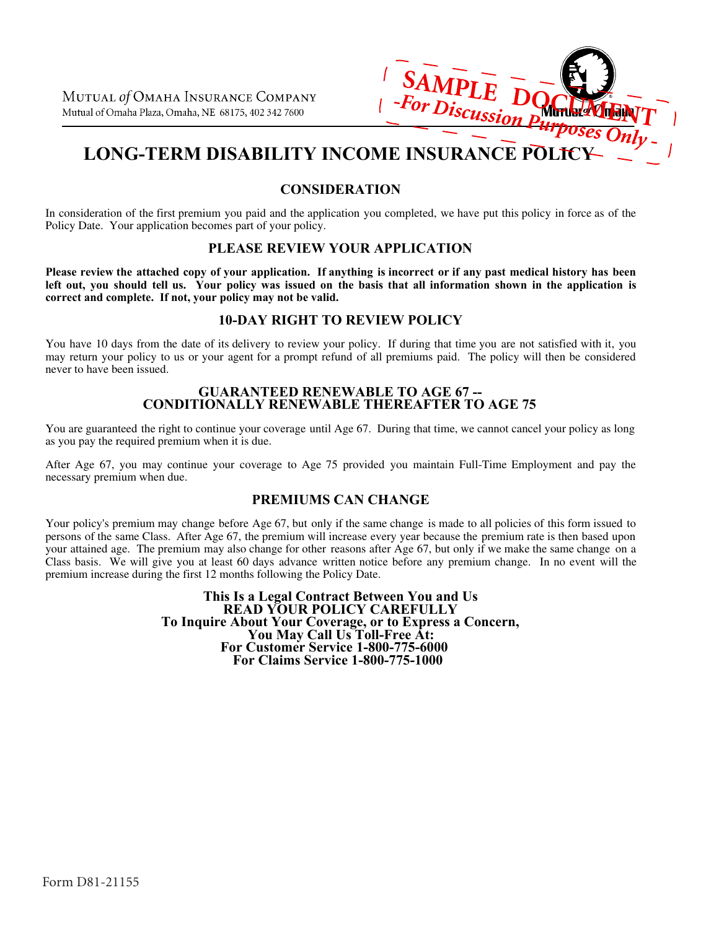

# **LONG-TERM DISABILITY INCOME INSURANCE POLICY**

# **CONSIDERATION**

In consideration of the first premium you paid and the application you completed, we have put this policy in force as of the Policy Date. Your application becomes part of your policy.

# **PLEASE REVIEW YOUR APPLICATION**

Please review the attached copy of your application. If anything is incorrect or if any past medical history has been left out, you should tell us. Your policy was issued on the basis that all information shown in the application is **correct and complete. If not, your policy may not be valid.**

# **10-DAY RIGHT TO REVIEW POLICY**

You have 10 days from the date of its delivery to review your policy. If during that time you are not satisfied with it, you may return your policy to us or your agent for a prompt refund of all premiums paid. The policy will then be considered never to have been issued.

### **GUARANTEED RENEWABLE TO AGE 67 -- CONDITIONALLY RENEWABLE THEREAFTER TO AGE 75**

You are guaranteed the right to continue your coverage until Age 67. During that time, we cannot cancel your policy as long as you pay the required premium when it is due.

After Age 67, you may continue your coverage to Age 75 provided you maintain Full-Time Employment and pay the necessary premium when due.

# **PREMIUMS CAN CHANGE**

Your policy's premium may change before Age 67, but only if the same change is made to all policies of this form issued to persons of the same Class. After Age 67, the premium will increase every year because the premium rate is then based upon your attained age. The premium may also change for other reasons after Age 67, but only if we make the same change on a Class basis. We will give you at least 60 days advance written notice before any premium change. In no event will the premium increase during the first 12 months following the Policy Date.

> **For Customer Service 1-800-775-6000 For Claims Service 1-800-775-1000 This Is a Legal Contract Between You and Us READ YOUR POLICY CAREFULLY To Inquire About Your Coverage, or to Express a Concern, You May Call Us Toll-Free At:**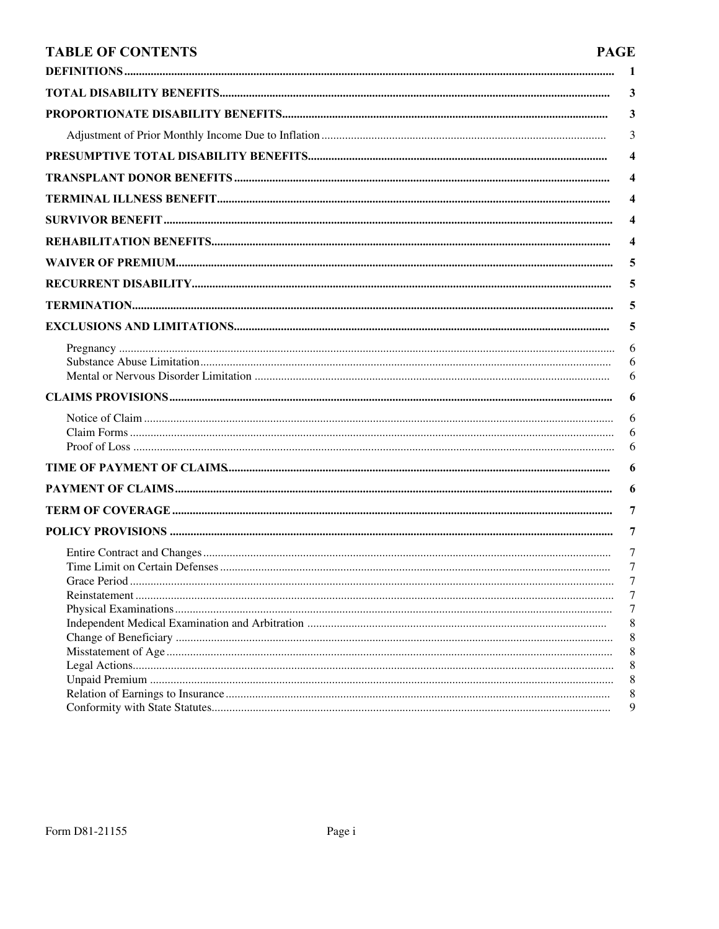# **TABLE OF CONTENTS**

# **PAGE**

| 1           |
|-------------|
| 3           |
| 3           |
| 3           |
| 4           |
| 4           |
| 4           |
| 4           |
| 4           |
| 5           |
| 5           |
| 5           |
| 5           |
| 6<br>6<br>6 |
| 6           |
| 6<br>6      |
| 6           |
| 6           |
| 6           |
| 7           |
| 7           |
| 7<br>7      |
| 7           |
| 7           |
| 8           |
| 8<br>8      |
| 8           |
| 8           |
| 8           |
| 9           |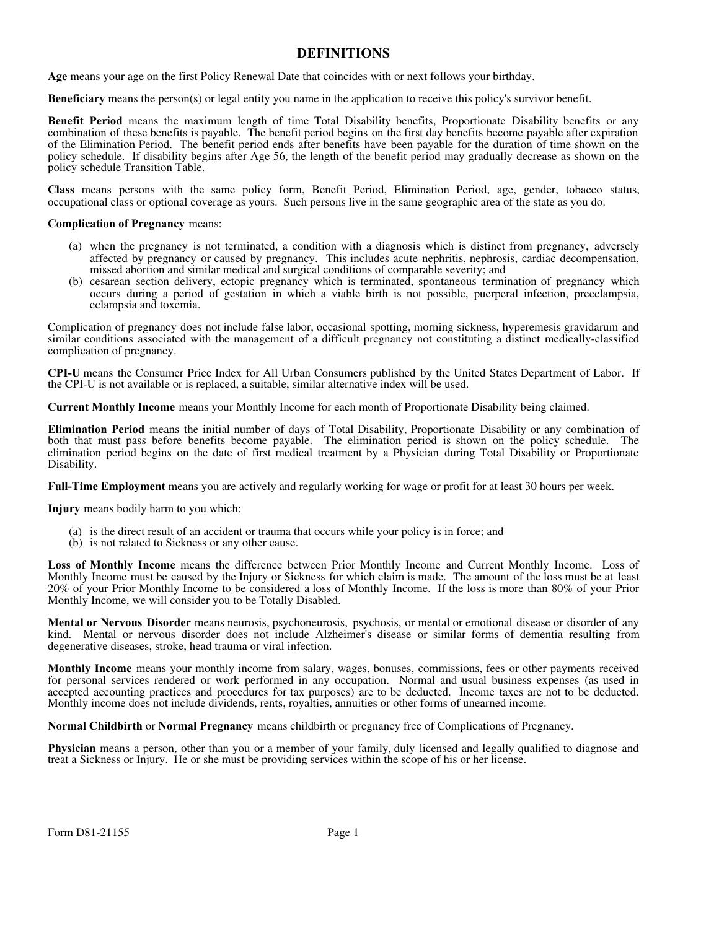# **DEFINITIONS**

**Age** means your age on the first Policy Renewal Date that coincides with or next follows your birthday.

**Beneficiary** means the person(s) or legal entity you name in the application to receive this policy's survivor benefit.

**Benefit Period** means the maximum length of time Total Disability benefits, Proportionate Disability benefits or any combination of these benefits is payable. The benefit period begins on the first day benefits become payable after expiration of the Elimination Period. The benefit period ends after benefits have been payable for the duration of time shown on the policy schedule. If disability begins after Age 56, the length of the benefit period may gradually decrease as shown on the policy schedule Transition Table.

**Class** means persons with the same policy form, Benefit Period, Elimination Period, age, gender, tobacco status, occupational class or optional coverage as yours. Such persons live in the same geographic area of the state as you do.

#### **Complication of Pregnancy** means:

- (a) when the pregnancy is not terminated, a condition with a diagnosis which is distinct from pregnancy, adversely affected by pregnancy or caused by pregnancy. This includes acute nephritis, nephrosis, cardiac decompensation, missed abortion and similar medical and surgical conditions of comparable severity; and
- (b) cesarean section delivery, ectopic pregnancy which is terminated, spontaneous termination of pregnancy which occurs during a period of gestation in which a viable birth is not possible, puerperal infection, preeclampsia, eclampsia and toxemia.

Complication of pregnancy does not include false labor, occasional spotting, morning sickness, hyperemesis gravidarum and similar conditions associated with the management of a difficult pregnancy not constituting a distinct medically-classified complication of pregnancy.

**CPI-U** means the Consumer Price Index for All Urban Consumers published by the United States Department of Labor. If the CPI-U is not available or is replaced, a suitable, similar alternative index will be used.

**Current Monthly Income** means your Monthly Income for each month of Proportionate Disability being claimed.

**Elimination Period** means the initial number of days of Total Disability, Proportionate Disability or any combination of both that must pass before benefits become payable. The elimination period is shown on the policy schedule. The elimination period begins on the date of first medical treatment by a Physician during Total Disability or Proportionate Disability.

**Full-Time Employment** means you are actively and regularly working for wage or profit for at least 30 hours per week.

**Injury** means bodily harm to you which:

- (a) is the direct result of an accident or trauma that occurs while your policy is in force; and
- (b) is not related to Sickness or any other cause.

**Loss of Monthly Income** means the difference between Prior Monthly Income and Current Monthly Income. Loss of Monthly Income must be caused by the Injury or Sickness for which claim is made. The amount of the loss must be at least 20% of your Prior Monthly Income to be considered a loss of Monthly Income. If the loss is more than 80% of your Prior Monthly Income, we will consider you to be Totally Disabled.

**Mental or Nervous Disorder** means neurosis, psychoneurosis, psychosis, or mental or emotional disease or disorder of any kind. Mental or nervous disorder does not include Alzheimer's disease or similar forms of dementia resulting from degenerative diseases, stroke, head trauma or viral infection.

**Monthly Income** means your monthly income from salary, wages, bonuses, commissions, fees or other payments received for personal services rendered or work performed in any occupation. Normal and usual business expenses (as used in accepted accounting practices and procedures for tax purposes) are to be deducted. Income taxes are not to be deducted. Monthly income does not include dividends, rents, royalties, annuities or other forms of unearned income.

**Normal Childbirth** or **Normal Pregnancy** means childbirth or pregnancy free of Complications of Pregnancy.

**Physician** means a person, other than you or a member of your family, duly licensed and legally qualified to diagnose and treat a Sickness or Injury. He or she must be providing services within the scope of his or her license.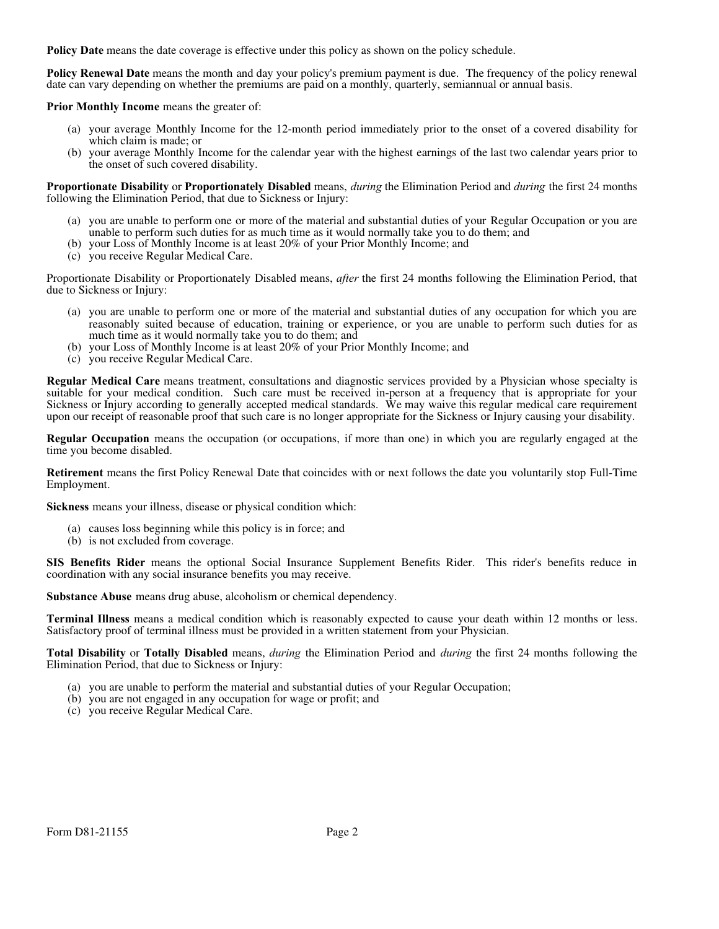**Policy Date** means the date coverage is effective under this policy as shown on the policy schedule.

**Policy Renewal Date** means the month and day your policy's premium payment is due. The frequency of the policy renewal date can vary depending on whether the premiums are paid on a monthly, quarterly, semiannual or annual basis.

**Prior Monthly Income** means the greater of:

- (a) your average Monthly Income for the 12-month period immediately prior to the onset of a covered disability for which claim is made; or
- (b) your average Monthly Income for the calendar year with the highest earnings of the last two calendar years prior to the onset of such covered disability.

**Proportionate Disability** or **Proportionately Disabled** means, *during* the Elimination Period and *during* the first 24 months following the Elimination Period, that due to Sickness or Injury:

- (a) you are unable to perform one or more of the material and substantial duties of your Regular Occupation or you are unable to perform such duties for as much time as it would normally take you to do them; and
- (b) your Loss of Monthly Income is at least 20% of your Prior Monthly Income; and
- (c) you receive Regular Medical Care.

Proportionate Disability or Proportionately Disabled means, *after* the first 24 months following the Elimination Period, that due to Sickness or Injury:

- (a) you are unable to perform one or more of the material and substantial duties of any occupation for which you are reasonably suited because of education, training or experience, or you are unable to perform such duties for as much time as it would normally take you to do them; and
- (b) your Loss of Monthly Income is at least 20% of your Prior Monthly Income; and
- (c) you receive Regular Medical Care.

**Regular Medical Care** means treatment, consultations and diagnostic services provided by a Physician whose specialty is suitable for your medical condition. Such care must be received in-person at a frequency that is appropriate for your Sickness or Injury according to generally accepted medical standards. We may waive this regular medical care requirement upon our receipt of reasonable proof that such care is no longer appropriate for the Sickness or Injury causing your disability.

**Regular Occupation** means the occupation (or occupations, if more than one) in which you are regularly engaged at the time you become disabled.

**Retirement** means the first Policy Renewal Date that coincides with or next follows the date you voluntarily stop Full-Time Employment.

**Sickness** means your illness, disease or physical condition which:

- (a) causes loss beginning while this policy is in force; and
- (b) is not excluded from coverage.

**SIS Benefits Rider** means the optional Social Insurance Supplement Benefits Rider. This rider's benefits reduce in coordination with any social insurance benefits you may receive.

**Substance Abuse** means drug abuse, alcoholism or chemical dependency.

**Terminal Illness** means a medical condition which is reasonably expected to cause your death within 12 months or less. Satisfactory proof of terminal illness must be provided in a written statement from your Physician.

**Total Disability** or **Totally Disabled** means, *during* the Elimination Period and *during* the first 24 months following the Elimination Period, that due to Sickness or Injury:

- (a) you are unable to perform the material and substantial duties of your Regular Occupation;
- (b) you are not engaged in any occupation for wage or profit; and
- (c) you receive Regular Medical Care.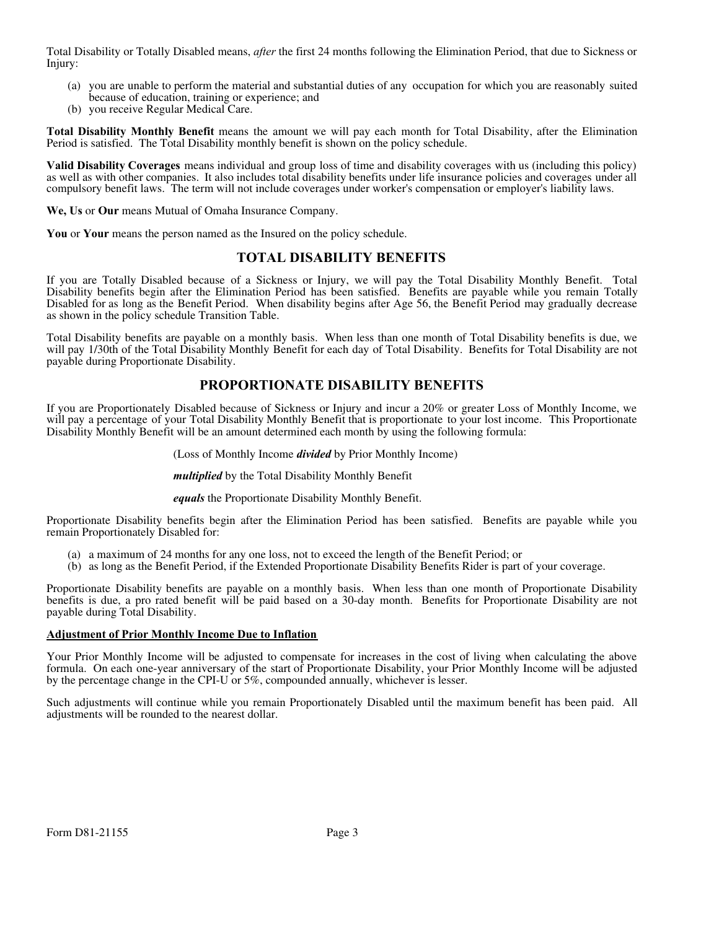Total Disability or Totally Disabled means, *after* the first 24 months following the Elimination Period, that due to Sickness or Injury:

- (a) you are unable to perform the material and substantial duties of any occupation for which you are reasonably suited because of education, training or experience; and
- (b) you receive Regular Medical Care.

**Total Disability Monthly Benefit** means the amount we will pay each month for Total Disability, after the Elimination Period is satisfied. The Total Disability monthly benefit is shown on the policy schedule.

**Valid Disability Coverages** means individual and group loss of time and disability coverages with us (including this policy) as well as with other companies. It also includes total disability benefits under life insurance policies and coverages under all compulsory benefit laws. The term will not include coverages under worker's compensation or employer's liability laws.

**We, Us** or **Our** means Mutual of Omaha Insurance Company.

**You** or **Your** means the person named as the Insured on the policy schedule.

### **TOTAL DISABILITY BENEFITS**

If you are Totally Disabled because of a Sickness or Injury, we will pay the Total Disability Monthly Benefit. Total Disability benefits begin after the Elimination Period has been satisfied. Benefits are payable while you remain Totally Disabled for as long as the Benefit Period. When disability begins after Age 56, the Benefit Period may gradually decrease as shown in the policy schedule Transition Table.

Total Disability benefits are payable on a monthly basis. When less than one month of Total Disability benefits is due, we will pay 1/30th of the Total Disability Monthly Benefit for each day of Total Disability. Benefits for Total Disability are not payable during Proportionate Disability.

# **PROPORTIONATE DISABILITY BENEFITS**

If you are Proportionately Disabled because of Sickness or Injury and incur a 20% or greater Loss of Monthly Income, we will pay a percentage of your Total Disability Monthly Benefit that is proportionate to your lost income. This Proportionate Disability Monthly Benefit will be an amount determined each month by using the following formula:

(Loss of Monthly Income *divided* by Prior Monthly Income)

*multiplied* by the Total Disability Monthly Benefit

*equals* the Proportionate Disability Monthly Benefit.

Proportionate Disability benefits begin after the Elimination Period has been satisfied. Benefits are payable while you remain Proportionately Disabled for:

- (a) a maximum of 24 months for any one loss, not to exceed the length of the Benefit Period; or
- (b) as long as the Benefit Period, if the Extended Proportionate Disability Benefits Rider is part of your coverage.

Proportionate Disability benefits are payable on a monthly basis. When less than one month of Proportionate Disability benefits is due, a pro rated benefit will be paid based on a 30-day month. Benefits for Proportionate Disability are not payable during Total Disability.

#### **Adjustment of Prior Monthly Income Due to Inflation**

Your Prior Monthly Income will be adjusted to compensate for increases in the cost of living when calculating the above formula. On each one-year anniversary of the start of Proportionate Disability, your Prior Monthly Income will be adjusted by the percentage change in the CPI-U or 5%, compounded annually, whichever is lesser.

Such adjustments will continue while you remain Proportionately Disabled until the maximum benefit has been paid. All adjustments will be rounded to the nearest dollar.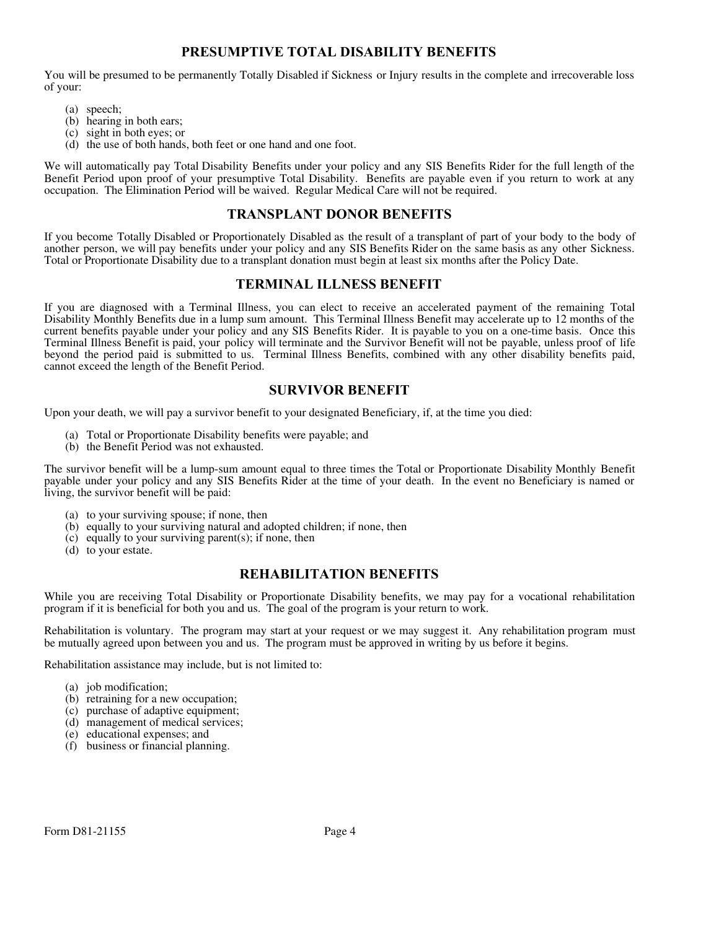# **PRESUMPTIVE TOTAL DISABILITY BENEFITS**

You will be presumed to be permanently Totally Disabled if Sickness or Injury results in the complete and irrecoverable loss of your:

- (a) speech;
- (b) hearing in both ears;
- (c) sight in both eyes; or
- (d) the use of both hands, both feet or one hand and one foot.

We will automatically pay Total Disability Benefits under your policy and any SIS Benefits Rider for the full length of the Benefit Period upon proof of your presumptive Total Disability. Benefits are payable even if you return to work at any occupation. The Elimination Period will be waived. Regular Medical Care will not be required.

### **TRANSPLANT DONOR BENEFITS**

If you become Totally Disabled or Proportionately Disabled as the result of a transplant of part of your body to the body of another person, we will pay benefits under your policy and any SIS Benefits Rider on the same basis as any other Sickness. Total or Proportionate Disability due to a transplant donation must begin at least six months after the Policy Date.

# **TERMINAL ILLNESS BENEFIT**

If you are diagnosed with a Terminal Illness, you can elect to receive an accelerated payment of the remaining Total Disability Monthly Benefits due in a lump sum amount. This Terminal Illness Benefit may accelerate up to 12 months of the current benefits payable under your policy and any SIS Benefits Rider. It is payable to you on a one-time basis. Once this Terminal Illness Benefit is paid, your policy will terminate and the Survivor Benefit will not be payable, unless proof of life beyond the period paid is submitted to us. Terminal Illness Benefits, combined with any other disability benefits paid, cannot exceed the length of the Benefit Period.

### **SURVIVOR BENEFIT**

Upon your death, we will pay a survivor benefit to your designated Beneficiary, if, at the time you died:

- (a) Total or Proportionate Disability benefits were payable; and
- (b) the Benefit Period was not exhausted.

The survivor benefit will be a lump-sum amount equal to three times the Total or Proportionate Disability Monthly Benefit payable under your policy and any SIS Benefits Rider at the time of your death. In the event no Beneficiary is named or living, the survivor benefit will be paid:

- (a) to your surviving spouse; if none, then
- (b) equally to your surviving natural and adopted children; if none, then
- (c) equally to your surviving parent(s); if none, then
- (d) to your estate.

# **REHABILITATION BENEFITS**

While you are receiving Total Disability or Proportionate Disability benefits, we may pay for a vocational rehabilitation program if it is beneficial for both you and us. The goal of the program is your return to work.

Rehabilitation is voluntary. The program may start at your request or we may suggest it. Any rehabilitation program must be mutually agreed upon between you and us. The program must be approved in writing by us before it begins.

Rehabilitation assistance may include, but is not limited to:

- (a) job modification;
- (b) retraining for a new occupation;
- (c) purchase of adaptive equipment;
- (d) management of medical services;
- (e) educational expenses; and
- (f) business or financial planning.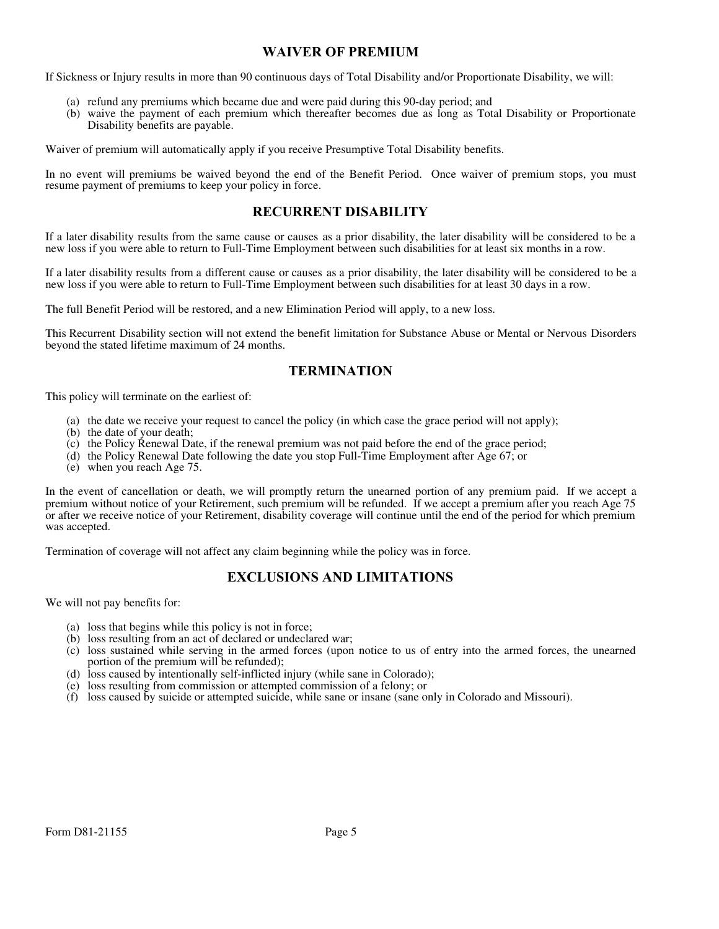# **WAIVER OF PREMIUM**

If Sickness or Injury results in more than 90 continuous days of Total Disability and/or Proportionate Disability, we will:

- (a) refund any premiums which became due and were paid during this 90-day period; and
- (b) waive the payment of each premium which thereafter becomes due as long as Total Disability or Proportionate Disability benefits are payable.

Waiver of premium will automatically apply if you receive Presumptive Total Disability benefits.

In no event will premiums be waived beyond the end of the Benefit Period. Once waiver of premium stops, you must resume payment of premiums to keep your policy in force.

### **RECURRENT DISABILITY**

If a later disability results from the same cause or causes as a prior disability, the later disability will be considered to be a new loss if you were able to return to Full-Time Employment between such disabilities for at least six months in a row.

If a later disability results from a different cause or causes as a prior disability, the later disability will be considered to be a new loss if you were able to return to Full-Time Employment between such disabilities for at least 30 days in a row.

The full Benefit Period will be restored, and a new Elimination Period will apply, to a new loss.

This Recurrent Disability section will not extend the benefit limitation for Substance Abuse or Mental or Nervous Disorders beyond the stated lifetime maximum of 24 months.

# **TERMINATION**

This policy will terminate on the earliest of:

- (a) the date we receive your request to cancel the policy (in which case the grace period will not apply);
- (b) the date of your death;
- (c) the Policy Renewal Date, if the renewal premium was not paid before the end of the grace period;
- (d) the Policy Renewal Date following the date you stop Full-Time Employment after Age 67; or
- (e) when you reach Age 75.

In the event of cancellation or death, we will promptly return the unearned portion of any premium paid. If we accept a premium without notice of your Retirement, such premium will be refunded. If we accept a premium after you reach Age 75 or after we receive notice of your Retirement, disability coverage will continue until the end of the period for which premium was accepted.

Termination of coverage will not affect any claim beginning while the policy was in force.

# **EXCLUSIONS AND LIMITATIONS**

We will not pay benefits for:

- (a) loss that begins while this policy is not in force;
- (b) loss resulting from an act of declared or undeclared war;
- (c) loss sustained while serving in the armed forces (upon notice to us of entry into the armed forces, the unearned portion of the premium will be refunded);
- (d) loss caused by intentionally self-inflicted injury (while sane in Colorado);
- (e) loss resulting from commission or attempted commission of a felony; or
- (f) loss caused by suicide or attempted suicide, while sane or insane (sane only in Colorado and Missouri).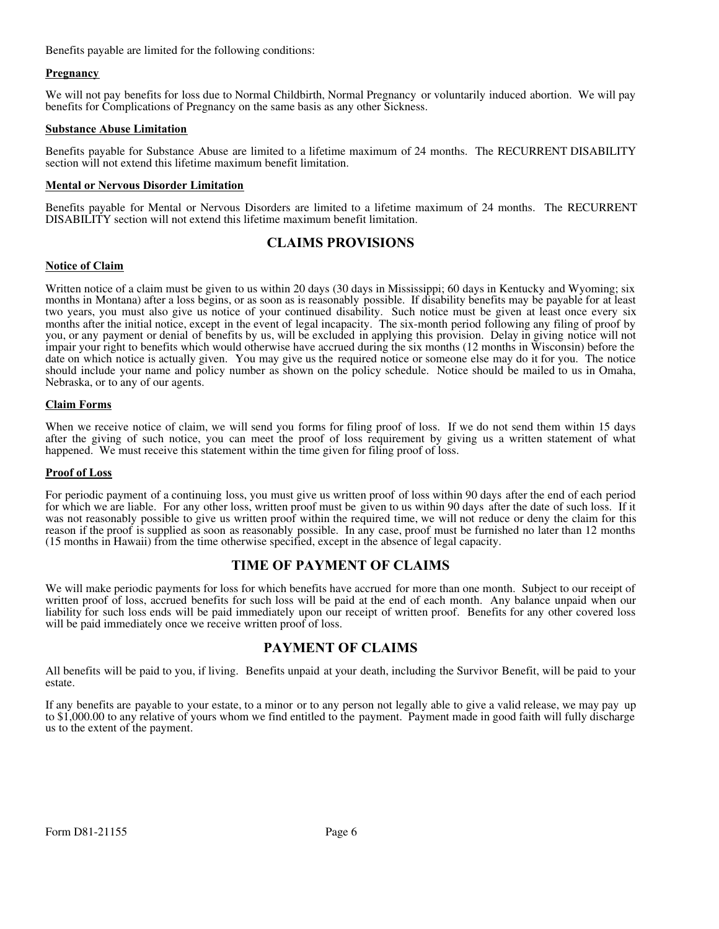Benefits payable are limited for the following conditions:

#### **Pregnancy**

We will not pay benefits for loss due to Normal Childbirth, Normal Pregnancy or voluntarily induced abortion. We will pay benefits for Complications of Pregnancy on the same basis as any other Sickness.

#### **Substance Abuse Limitation**

Benefits payable for Substance Abuse are limited to a lifetime maximum of 24 months. The RECURRENT DISABILITY section will not extend this lifetime maximum benefit limitation.

#### **Mental or Nervous Disorder Limitation**

Benefits payable for Mental or Nervous Disorders are limited to a lifetime maximum of 24 months. The RECURRENT DISABILITY section will not extend this lifetime maximum benefit limitation.

# **CLAIMS PROVISIONS**

#### **Notice of Claim**

Written notice of a claim must be given to us within 20 days (30 days in Mississippi; 60 days in Kentucky and Wyoming; six months in Montana) after a loss begins, or as soon as is reasonably possible. If disability benefits may be payable for at least two years, you must also give us notice of your continued disability. Such notice must be given at least once every six months after the initial notice, except in the event of legal incapacity. The six-month period following any filing of proof by you, or any payment or denial of benefits by us, will be excluded in applying this provision. Delay in giving notice will not impair your right to benefits which would otherwise have accrued during the six months (12 months in Wisconsin) before the date on which notice is actually given. You may give us the required notice or someone else may do it for you. The notice should include your name and policy number as shown on the policy schedule. Notice should be mailed to us in Omaha, Nebraska, or to any of our agents.

#### **Claim Forms**

When we receive notice of claim, we will send you forms for filing proof of loss. If we do not send them within 15 days after the giving of such notice, you can meet the proof of loss requirement by giving us a written statement of what happened. We must receive this statement within the time given for filing proof of loss.

#### **Proof of Loss**

For periodic payment of a continuing loss, you must give us written proof of loss within 90 days after the end of each period for which we are liable. For any other loss, written proof must be given to us within 90 days after the date of such loss. If it was not reasonably possible to give us written proof within the required time, we will not reduce or deny the claim for this reason if the proof is supplied as soon as reasonably possible. In any case, proof must be furnished no later than 12 months (15 months in Hawaii) from the time otherwise specified, except in the absence of legal capacity.

# **TIME OF PAYMENT OF CLAIMS**

We will make periodic payments for loss for which benefits have accrued for more than one month. Subject to our receipt of written proof of loss, accrued benefits for such loss will be paid at the end of each month. Any balance unpaid when our liability for such loss ends will be paid immediately upon our receipt of written proof. Benefits for any other covered loss will be paid immediately once we receive written proof of loss.

# **PAYMENT OF CLAIMS**

All benefits will be paid to you, if living. Benefits unpaid at your death, including the Survivor Benefit, will be paid to your estate.

If any benefits are payable to your estate, to a minor or to any person not legally able to give a valid release, we may pay up to \$1,000.00 to any relative of yours whom we find entitled to the payment. Payment made in good faith will fully discharge us to the extent of the payment.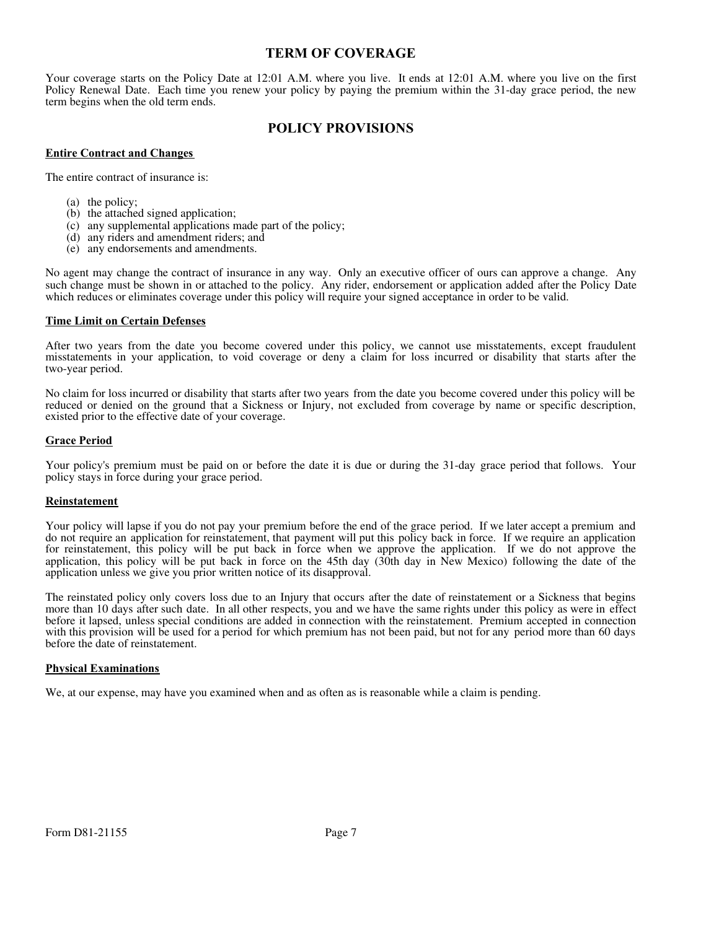# **TERM OF COVERAGE**

Your coverage starts on the Policy Date at 12:01 A.M. where you live. It ends at 12:01 A.M. where you live on the first Policy Renewal Date. Each time you renew your policy by paying the premium within the 31-day grace period, the new term begins when the old term ends.

# **POLICY PROVISIONS**

#### **Entire Contract and Changes**

The entire contract of insurance is:

- (a) the policy;
- (b) the attached signed application;
- (c) any supplemental applications made part of the policy;
- (d) any riders and amendment riders; and
- (e) any endorsements and amendments.

No agent may change the contract of insurance in any way. Only an executive officer of ours can approve a change. Any such change must be shown in or attached to the policy. Any rider, endorsement or application added after the Policy Date which reduces or eliminates coverage under this policy will require your signed acceptance in order to be valid.

#### **Time Limit on Certain Defenses**

After two years from the date you become covered under this policy, we cannot use misstatements, except fraudulent misstatements in your application, to void coverage or deny a claim for loss incurred or disability that starts after the two-year period.

No claim for loss incurred or disability that starts after two years from the date you become covered under this policy will be reduced or denied on the ground that a Sickness or Injury, not excluded from coverage by name or specific description, existed prior to the effective date of your coverage.

#### **Grace Period**

Your policy's premium must be paid on or before the date it is due or during the 31-day grace period that follows. Your policy stays in force during your grace period.

#### **Reinstatement**

Your policy will lapse if you do not pay your premium before the end of the grace period. If we later accept a premium and do not require an application for reinstatement, that payment will put this policy back in force. If we require an application for reinstatement, this policy will be put back in force when we approve the application. If we do not approve the application, this policy will be put back in force on the 45th day (30th day in New Mexico) following the date of the application unless we give you prior written notice of its disapproval.

The reinstated policy only covers loss due to an Injury that occurs after the date of reinstatement or a Sickness that begins more than 10 days after such date. In all other respects, you and we have the same rights under this policy as were in effect before it lapsed, unless special conditions are added in connection with the reinstatement. Premium accepted in connection with this provision will be used for a period for which premium has not been paid, but not for any period more than 60 days before the date of reinstatement.

#### **Physical Examinations**

We, at our expense, may have you examined when and as often as is reasonable while a claim is pending.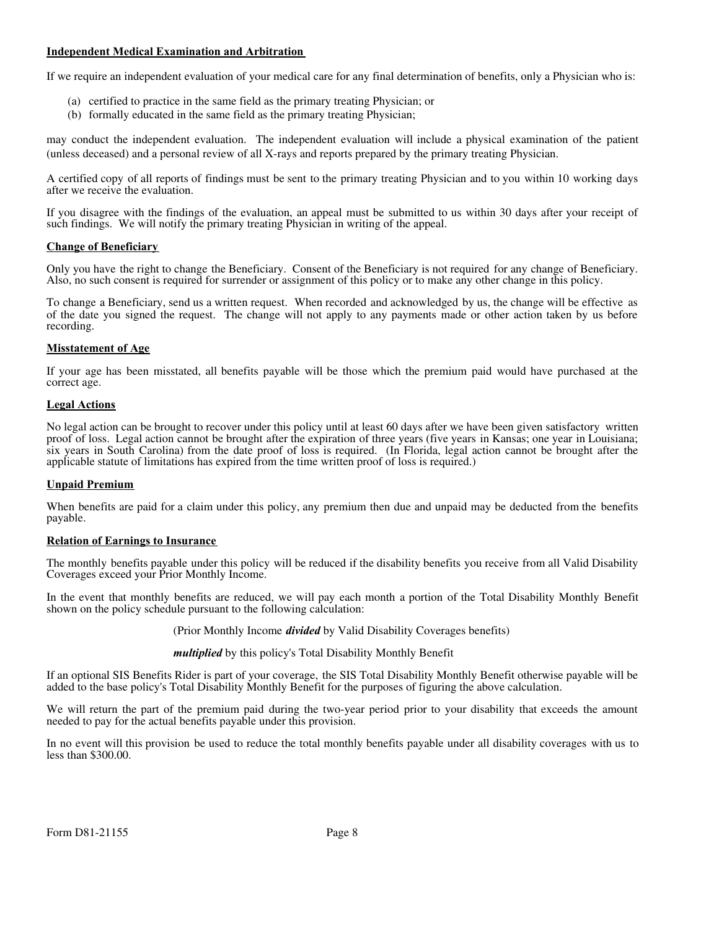### **Independent Medical Examination and Arbitration**

If we require an independent evaluation of your medical care for any final determination of benefits, only a Physician who is:

- (a) certified to practice in the same field as the primary treating Physician; or
- (b) formally educated in the same field as the primary treating Physician;

may conduct the independent evaluation. The independent evaluation will include a physical examination of the patient (unless deceased) and a personal review of all X-rays and reports prepared by the primary treating Physician.

A certified copy of all reports of findings must be sent to the primary treating Physician and to you within 10 working days after we receive the evaluation.

If you disagree with the findings of the evaluation, an appeal must be submitted to us within 30 days after your receipt of such findings. We will notify the primary treating Physician in writing of the appeal.

#### **Change of Beneficiary**

Only you have the right to change the Beneficiary. Consent of the Beneficiary is not required for any change of Beneficiary. Also, no such consent is required for surrender or assignment of this policy or to make any other change in this policy.

To change a Beneficiary, send us a written request. When recorded and acknowledged by us, the change will be effective as of the date you signed the request. The change will not apply to any payments made or other action taken by us before recording.

#### **Misstatement of Age**

If your age has been misstated, all benefits payable will be those which the premium paid would have purchased at the correct age.

#### **Legal Actions**

No legal action can be brought to recover under this policy until at least 60 days after we have been given satisfactory written proof of loss. Legal action cannot be brought after the expiration of three years (five years in Kansas; one year in Louisiana; six years in South Carolina) from the date proof of loss is required. (In Florida, legal action cannot be brought after the applicable statute of limitations has expired from the time written proof of loss is required.)

#### **Unpaid Premium**

When benefits are paid for a claim under this policy, any premium then due and unpaid may be deducted from the benefits payable.

#### **Relation of Earnings to Insurance**

The monthly benefits payable under this policy will be reduced if the disability benefits you receive from all Valid Disability Coverages exceed your Prior Monthly Income.

In the event that monthly benefits are reduced, we will pay each month a portion of the Total Disability Monthly Benefit shown on the policy schedule pursuant to the following calculation:

(Prior Monthly Income *divided* by Valid Disability Coverages benefits)

*multiplied* by this policy's Total Disability Monthly Benefit

If an optional SIS Benefits Rider is part of your coverage, the SIS Total Disability Monthly Benefit otherwise payable will be added to the base policy's Total Disability Monthly Benefit for the purposes of figuring the above calculation.

We will return the part of the premium paid during the two-year period prior to your disability that exceeds the amount needed to pay for the actual benefits payable under this provision.

In no event will this provision be used to reduce the total monthly benefits payable under all disability coverages with us to less than \$300.00.